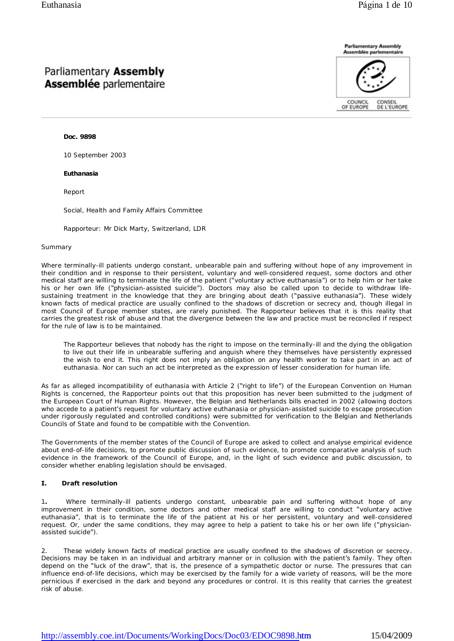# Parliamentary Assembly **Assemblée** parlementaire



#### **Doc. 9898**

10 September 2003

#### **Euthanasia**

Report

Social, Health and Family Affairs Committee

Rapporteur: Mr Dick Marty, Switzerland, LDR

#### *Summary*

Where terminally-ill patients undergo constant, unbearable pain and suffering without hope of any improvement in their condition and in response to their persistent, voluntary and well-considered request, some doctors and other medical staff are willing to terminate the life of the patient ("voluntary active euthanasia") or to help him or her take his or her own life ("physician-assisted suicide"). Doctors may also be called upon to decide to withdraw lifesustaining treatment in the knowledge that they are bringing about death ("passive euthanasia"). These widely known facts of medical practice are usually confined to the shadows of discretion or secrecy and, though illegal in most Council of Europe member states, are rarely punished. The Rapporteur believes that it is this reality that carries the greatest risk of abuse and that the divergence between the law and practice must be reconciled if respect for the rule of law is to be maintained.

The Rapporteur believes that nobody has the right to impose on the terminally-ill and the dying the obligation to live out their life in unbearable suffering and anguish where they themselves have persistently expressed the wish to end it. This right does not imply an obligation on any health worker to take part in an act of euthanasia. Nor can such an act be interpreted as the expression of lesser consideration for human life.

As far as alleged incompatibility of euthanasia with Article 2 ("right to life") of the European Convention on Human Rights is concerned, the Rapporteur points out that this proposition has never been submitted to the judgment of the European Court of Human Rights. However, the Belgian and Netherlands bills enacted in 2002 (allowing doctors who accede to a patient's request for voluntary active euthanasia or physician-assisted suicide to escape prosecution under rigorously regulated and controlled conditions) were submitted for verification to the Belgian and Netherlands Councils of State and found to be compatible with the Convention.

The Governments of the member states of the Council of Europe are asked to collect and analyse empirical evidence about end-of-life decisions, to promote public discussion of such evidence, to promote comparative analysis of such evidence in the framework of the Council of Europe, and, in the light of such evidence and public discussion, to consider whether enabling legislation should be envisaged.

## **I. Draft resolution**

1**.** Where terminally-ill patients undergo constant, unbearable pain and suffering without hope of any improvement in their condition, some doctors and other medical staff are willing to conduct "voluntary active euthanasia", that is to terminate the life of the patient at his or her persistent, voluntary and well-considered request. Or, under the same conditions, they may agree to help a patient to take his or her own life ("physicianassisted suicide").

These widely known facts of medical practice are usually confined to the shadows of discretion or secrecy. Decisions may be taken in an individual and arbitrary manner or in collusion with the patient's family. They often depend on the "luck of the draw", that is, the presence of a sympathetic doctor or nurse. The pressures that can influence end-of-life decisions, which may be exercised by the family for a wide variety of reasons, will be the more pernicious if exercised in the dark and beyond any procedures or control. It is this reality that carries the greatest risk of abuse.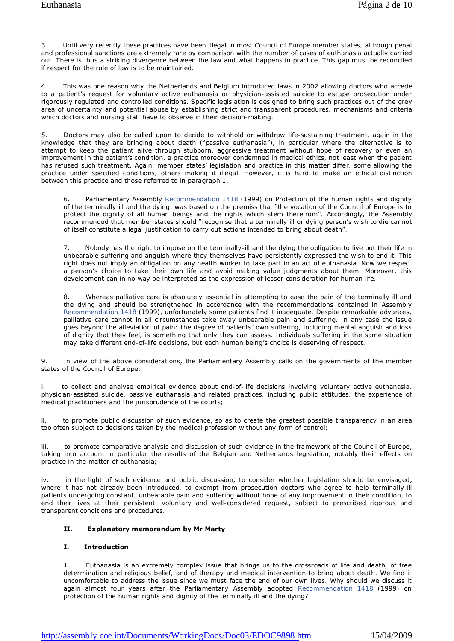Until very recently these practices have been illegal in most Council of Europe member states, although penal and professional sanctions are extremely rare by comparison with the number of cases of euthanasia actually carried out. There is thus a striking divergence between the law and what happens in practice. This gap must be reconciled if respect for the rule of law is to be maintained.

4. This was one reason why the Netherlands and Belgium introduced laws in 2002 allowing doctors who accede to a patient's request for voluntary active euthanasia or physician-assisted suicide to escape prosecution under rigorously regulated and controlled conditions. Specific legislation is designed to bring such practices out of the grey area of uncertainty and potential abuse by establishing strict and transparent procedures, mechanisms and criteria which doctors and nursing staff have to observe in their decision-making.

5. Doctors may also be called upon to decide to withhold or withdraw life-sustaining treatment, again in the knowledge that they are bringing about death ("passive euthanasia"), in particular where the alternative is to attempt to keep the patient alive through stubborn, aggressive treatment without hope of recovery or even an improvement in the patient's condition, a practice moreover condemned in medical ethics, not least when the patient has refused such treatment. Again, member states' legislation and practice in this matter differ, some allowing the practice under specified conditions, others making it illegal. However, it is hard to make an ethical distinction between this practice and those referred to in paragraph 1.

6. Parliamentary Assembly Recommendation 1418 (1999) on *Protection of the human rights and dignity of the terminally ill and the dying*, was based on the premiss that "the vocation of the Council of Europe is to protect the dignity of all human beings and the rights which stem therefrom". Accordingly, the Assembly recommended that member states should "recognise that a terminally ill or dying person's wish to die cannot of itself constitute a legal justification to carry out actions intended to bring about death".

7. Nobody has the right to impose on the terminally-ill and the dying the obligation to live out their life in unbearable suffering and anguish where they themselves have persistently expressed the wish to end it. This right does not imply an obligation on any health worker to take part in an act of euthanasia. Now we respect a person's choice to take their own life and avoid making value judgments about them. Moreover, this development can in no way be interpreted as the expression of lesser consideration for human life.

8. Whereas palliative care is absolutely essential in attempting to ease the pain of the terminally ill and the dying and should be strengthened in accordance with the recommendations contained in Assembly Recommendation 1418 (1999), unfortunately some patients find it inadequate. Despite remarkable advances, palliative care cannot in all circumstances take away unbearable pain and suffering. In any case the issue goes beyond the alleviation of pain: the degree of patients' own suffering, including mental anguish and loss of dignity that they feel, is something that only they can assess. Individuals suffering in the same situation may take different end-of-life decisions, but each human being's choice is deserving of respect.

In view of the above considerations, the Parliamentary Assembly calls on the governments of the member states of the Council of Europe:

i. to collect and analyse empirical evidence about end-of-life decisions involving voluntary active euthanasia, physician-assisted suicide, passive euthanasia and related practices, including public attitudes, the experience of medical practitioners and the jurisprudence of the courts;

ii. to promote public discussion of such evidence, so as to create the greatest possible transparency in an area too often subject to decisions taken by the medical profession without any form of control;

iii. to promote comparative analysis and discussion of such evidence in the framework of the Council of Europe, taking into account in particular the results of the Belgian and Netherlands legislation, notably their effects on practice in the matter of euthanasia;

iv. in the light of such evidence and public discussion, to consider whether legislation should be envisaged, where it has not already been introduced, to exempt from prosecution doctors who agree to help terminally-ill patients undergoing constant, unbearable pain and suffering without hope of any improvement in their condition, to end their lives at their persistent, voluntary and well-considered request, subject to prescribed rigorous and transparent conditions and procedures.

## **II. Explanatory memorandum by Mr Marty**

## **I. Introduction**

1. Euthanasia is an extremely complex issue that brings us to the crossroads of life and death, of free determination and religious belief, and of therapy and medical intervention to bring about death. We find it uncomfortable to address the issue since we must face the end of our own lives. Why should we discuss it again almost four years after the Parliamentary Assembly adopted Recommendation 1418 (1999) on protection of the human rights and dignity of the terminally ill and the dying?

[http://assembly.coe.int/Documents/WorkingDocs/Doc03/EDOC9898.h](http://assembly.coe.int/Documents/WorkingDocs/Doc03/EDOC9898.htm)tm 15/04/2009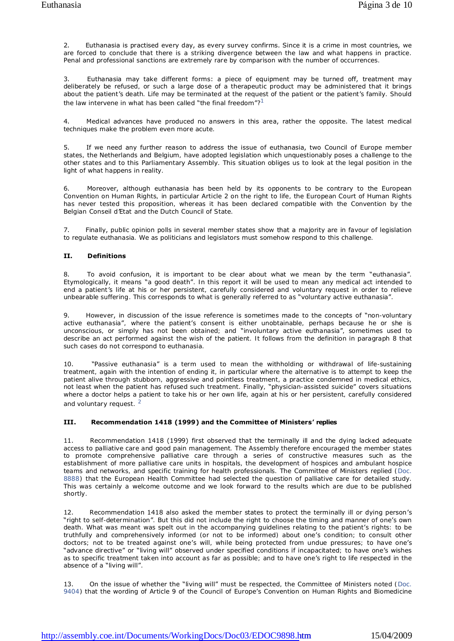2. Euthanasia is practised every day, as every survey confirms. Since it is a crime in most countries, we are forced to conclude that there is a striking divergence between the law and what happens in practice. Penal and professional sanctions are extremely rare by comparison with the number of occurrences.

3. Euthanasia may take different forms: a piece of equipment may be turned off, treatment may deliberately be refused, or such a large dose of a therapeutic product may be administered that it brings about the patient's death. Life may be terminated at the request of the patient or the patient's family. Should the law intervene in what has been called "the final freedom"?<sup>1</sup>

4. Medical advances have produced no answers in this area, rather the opposite. The latest medical techniques make the problem even more acute.

5. If we need any further reason to address the issue of euthanasia, two Council of Europe member states, the Netherlands and Belgium, have adopted legislation which unquestionably poses a challenge to the other states and to this Parliamentary Assembly. This situation obliges us to look at the legal position in the light of what happens in reality.

6. Moreover, although euthanasia has been held by its opponents to be contrary to the European Convention on Human Rights, in particular Article 2 on the right to life, the European Court of Human Rights has never tested this proposition, whereas it has been declared compatible with the Convention by the Belgian *Conseil d'Etat* and the Dutch Council of State.

7. Finally, public opinion polls in several member states show that a majority are in favour of legislation to regulate euthanasia. We as politicians and legislators must somehow respond to this challenge.

## **II. Definitions**

8. To avoid confusion, it is important to be clear about what we mean by the term "euthanasia". Etymologically, it means "a good death". In this report it will be used to mean *any medical act intended to end a patient's life at his or her persistent, carefully considered and voluntary request in order to relieve unbearable suffering*. This corresponds to what is generally referred to as "voluntary active euthanasia".

9. However, in discussion of the issue reference is sometimes made to the concepts of "non-voluntary active euthanasia", where the patient's consent is either unobtainable, perhaps because he or she is unconscious, or simply has not been obtained; and "involuntary active euthanasia", sometimes used to describe an act performed *against* the wish of the patient. It follows from the definition in paragraph 8 that such cases do not correspond to euthanasia.

10. "Passive euthanasia" is a term used to mean the withholding or withdrawal of life-sustaining treatment, again with the intention of ending it, in particular where the alternative is to attempt to keep the patient alive through stubborn, aggressive and pointless treatment, a practice condemned in medical ethics, not least when the patient has refused such treatment. Finally, "physician-assisted suicide" covers situations where a doctor helps a patient to take his or her own life, again at his or her persistent, carefully considered and voluntary request.<sup>2</sup>

## **III. Recommendation 1418 (1999) and the Committee of Ministers' replies**

11. Recommendation 1418 (1999) first observed that the terminally ill and the dying lacked adequate access to palliative care and good pain management. The Assembly therefore encouraged the member states to promote comprehensive palliative care through a series of constructive measures such as the establishment of more palliative care units in hospitals, the development of hospices and ambulant hospice teams and networks, and specific training for health professionals. The Committee of Ministers replied (Doc. 8888) that the European Health Committee had selected the question of palliative care for detailed study. This was certainly a welcome outcome and we look forward to the results which are due to be published shortly.

Recommendation 1418 also asked the member states to protect the terminally ill or dying person's "right to self-determination". But this did not include the right to choose the timing and manner of one's own death. What was meant was spelt out in the accompanying guidelines relating to the patient's rights: to be truthfully and comprehensively informed (or not to be informed) about one's condition; to consult other doctors; not to be treated against one's will, while being protected from undue pressures; to have one's "advance directive" or "living will" observed under specified conditions if incapacitated; to have one's wishes as to specific treatment taken into account as far as possible; and to have one's right to life respected in the absence of a "living will".

13. On the issue of whether the "living will" must be respected, the Committee of Ministers noted (Doc. 9404) that the wording of Article 9 of the Council of Europe's Convention on Human Rights and Biomedicine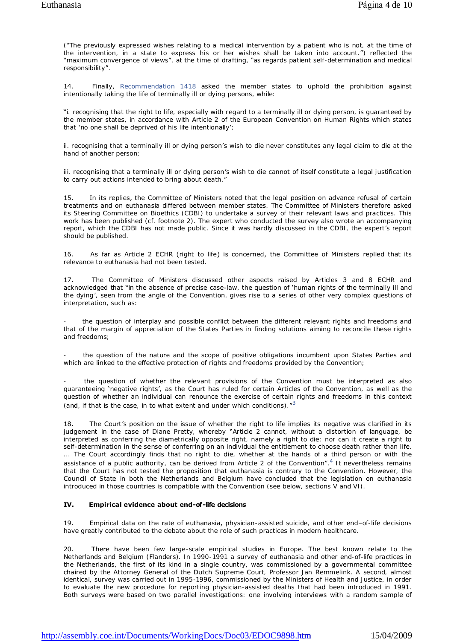("The previously expressed wishes relating to a medical intervention by a patient who is not, at the time of the intervention, in a state to express his or her wishes shall be taken into account.") reflected the "maximum convergence of views", at the time of drafting, "as regards patient self-determination and medical responsibility".

14. Finally, Recommendation 1418 asked the member states to uphold the prohibition against intentionally taking the life of terminally ill or dying persons, while:

"i. recognising that the right to life, especially with regard to a terminally ill or dying person, is guaranteed by the member states, in accordance with Article 2 of the European Convention on Human Rights which states that 'no one shall be deprived of his life intentionally';

ii. recognising that a terminally ill or dying person's wish to die never constitutes any legal claim to die at the hand of another person;

iii. recognising that a terminally ill or dying person's wish to die cannot of itself constitute a legal justification to carry out actions intended to bring about death."

15. In its replies, the Committee of Ministers noted that the legal position on advance refusal of certain treatments and on euthanasia differed between member states. The Committee of Ministers therefore asked its Steering Committee on Bioethics (CDBI) to undertake a survey of their relevant laws and practices. This work has been published (cf. footnote 2). The expert who conducted the survey also wrote an accompanying report, which the CDBI has not made public. Since it was hardly discussed in the CDBI, the expert's report should be published.

16. As far as Article 2 ECHR (right to life) is concerned, the Committee of Ministers replied that its relevance to euthanasia had not been tested.

17. The Committee of Ministers discussed other aspects raised by Articles 3 and 8 ECHR and acknowledged that "in the absence of precise case-law, the question of 'human rights of the terminally ill and the dying', seen from the angle of the Convention, gives rise to a series of other very complex questions of interpretation, such as:

the question of interplay and possible conflict between the different relevant rights and freedoms and that of the margin of appreciation of the States Parties in finding solutions aiming to reconcile these rights and freedoms;

the question of the nature and the scope of positive obligations incumbent upon States Parties and which are linked to the effective protection of rights and freedoms provided by the Convention;

the question of whether the relevant provisions of the Convention must be interpreted as also guaranteeing 'negative rights', as the Court has ruled for certain Articles of the Convention, as well as the question of whether an individual can renounce the exercise of certain rights and freedoms in this context (and, if that is the case, in to what extent and under which conditions).  $^{n3}$ 

18. The Court's position on the issue of whether the right to life implies its negative was clarified in its judgement in the case of Diane Pretty, whereby "Article 2 cannot, without a distortion of language, be interpreted as conferring the diametrically opposite right, namely a right to die; nor can it create a right to self-determination in the sense of conferring on an individual the entitlement to choose death rather than life. ... The Court accordingly finds that no right to die, whether at the hands of a third person or with the assistance of a public authority, can be derived from Article 2 of the Convention".<sup>4</sup> It nevertheless remains that the Court has not tested the proposition that euthanasia is contrary to the Convention. However, the Council of State in both the Netherlands and Belgium have concluded that the legislation on euthanasia introduced in those countries is compatible with the Convention (see below, sections V and VI).

## **IV. Empirical evidence about end-of -life decisions**

19. Empirical data on the rate of euthanasia, physician-assisted suicide, and other end–of-life decisions have greatly contributed to the debate about the role of such practices in modern healthcare.

20. There have been few large-scale empirical studies in Europe. The best known relate to the Netherlands and Belgium (Flanders). In 1990-1991 a survey of euthanasia and other end-of-life practices in the Netherlands, the first of its kind in a single country, was commissioned by a governmental committee chaired by the Attorney General of the Dutch Supreme Court, Professor Jan Remmelink. A second, almost identical, survey was carried out in 1995-1996, commissioned by the Ministers of Health and Justice, in order to evaluate the new procedure for reporting physician-assisted deaths that had been introduced in 1991. Both surveys were based on two parallel investigations: one involving *interviews* with a random sample of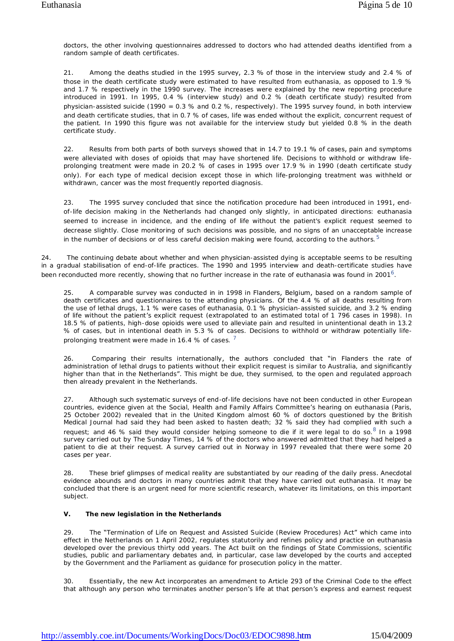doctors, the other involving *questionnaires* addressed to doctors who had attended deaths identified from a random sample of death certificates.

21. Among the deaths studied in the 1995 survey, 2.3 % of those in the interview study and 2.4 % of those in the death certificate study were estimated to have resulted from euthanasia, as opposed to 1.9 % and 1.7 % respectively in the 1990 survey. The increases were explained by the new reporting procedure introduced in 1991. In 1995, 0.4 % (interview study) and 0.2 % (death certificate study) resulted from physician-assisted suicide (1990 = 0.3 % and 0.2 %, respectively). The 1995 survey found, in both interview and death certificate studies, that in 0.7 % of cases, life was ended without the explicit, concurrent request of the patient. In 1990 this figure was not available for the interview study but yielded 0.8 % in the death certificate study.

22. Results from both parts of both surveys showed that in 14.7 to 19.1 % of cases, pain and symptoms were alleviated with doses of opioids that may have shortened life. Decisions to withhold or withdraw lifeprolonging treatment were made in 20.2 % of cases in 1995 over 17.9 % in 1990 (death certificate study only). For each type of medical decision except those in which life-prolonging treatment was withheld or withdrawn, cancer was the most frequently reported diagnosis.

23. The 1995 survey concluded that since the notification procedure had been introduced in 1991, endof-life decision making in the Netherlands had changed only slightly, in anticipated directions: euthanasia seemed to increase in incidence, and the ending of life without the patient's explicit request seemed to decrease slightly. Close monitoring of such decisions was possible, and no signs of an unacceptable increase in the number of decisions or of less careful decision making were found, according to the authors.<sup>5</sup>

24. The continuing debate about whether and when physician-assisted dying is acceptable seems to be resulting in a gradual stabilisation of end-of-life practices. The 1990 and 1995 interview and death-certificate studies have been reconducted more recently, showing that no further increase in the rate of euthanasia was found in 2001<sup>6</sup>.

25. A comparable survey was conducted in in 1998 in Flanders, Belgium, based on a random sample of death certificates and questionnaires to the attending physicians. Of the 4.4 % of all deaths resulting from the use of lethal drugs, 1.1 % were cases of euthanasia, 0.1 % physician-assisted suicide, and 3.2 % ending of life without the patient's explicit request (extrapolated to an estimated total of 1 796 cases in 1998). In 18.5 % of patients, high-dose opioids were used to alleviate pain and resulted in unintentional death in 13.2 % of cases, but in intentional death in 5.3 % of cases. Decisions to withhold or withdraw potentially lifeprolonging treatment were made in 16.4 % of cases.  $^7$ 

26. Comparing their results internationally, the authors concluded that "in Flanders the rate of administration of lethal drugs to patients without their explicit request is similar to Australia, and significantly higher than that in the Netherlands". This might be due, they surmised, to the open and regulated approach then already prevalent in the Netherlands.

27. Although such systematic surveys of end-of-life decisions have not been conducted in other European countries, evidence given at the Social, Health and Family Affairs Committee's hearing on euthanasia (Paris, 25 October 2002) revealed that in the United Kingdom almost 60 % of doctors questioned by the *British Medical Journal* had said they had been asked to hasten death; 32 % said they had complied with such a request; and 46 % said they would consider helping someone to die if it were legal to do so. <sup>8</sup> In a 1998 survey carried out by *The Sunday Times*, 14 % of the doctors who answered admitted that they had helped a patient to die at their request. A survey carried out in Norway in 1997 revealed that there were some 20 cases per year.

28. These brief glimpses of medical reality are substantiated by our reading of the daily press. Anecdotal evidence abounds and doctors in many countries admit that they have carried out euthanasia. It may be concluded that there is an urgent need for more scientific research, whatever its limitations, on this important subject.

## **V. The new legislation in the Netherlands**

29. The "Termination of Life on Request and Assisted Suicide (Review Procedures) Act" which came into effect in the Netherlands on 1 April 2002, regulates statutorily and refines policy and practice on euthanasia developed over the previous thirty odd years. The Act built on the findings of State Commissions, scientific studies, public and parliamentary debates and, in particular, case law developed by the courts and accepted by the Government and the Parliament as guidance for prosecution policy in the matter.

30. Essentially, the new Act incorporates an amendment to Article 293 of the Criminal Code to the effect that although any person who terminates another person's life at that person's express and earnest request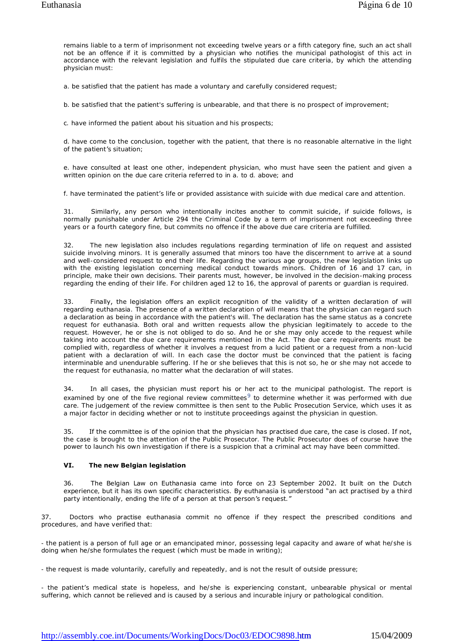remains liable to a term of imprisonment not exceeding twelve years or a fifth category fine, such an act shall not be an offence if it is committed by a physician who notifies the municipal pathologist of this act in accordance with the relevant legislation and fulfils the stipulated due care criteria, by which the attending physician must:

a. be satisfied that the patient has made a voluntary and carefully considered request;

b. be satisfied that the patient's suffering is unbearable, and that there is no prospect of improvement;

c. have informed the patient about his situation and his prospects;

d. have come to the conclusion, together with the patient, that there is no reasonable alternative in the light of the patient's situation;

e. have consulted at least one other, independent physician, who must have seen the patient and given a written opinion on the due care criteria referred to in a. to d. above; and

f. have terminated the patient's life or provided assistance with suicide with due medical care and attention.

31. Similarly, any person who intentionally incites another to commit suicide, if suicide follows, is normally punishable under Article 294 the Criminal Code by a term of imprisonment not exceeding three years or a fourth category fine, but commits no offence if the above due care criteria are fulfilled.

32. The new legislation also includes regulations regarding termination of life on request and assisted suicide involving minors. It is generally assumed that minors too have the discernment to arrive at a sound and well-considered request to end their life. Regarding the various age groups, the new legislation links up with the existing legislation concerning medical conduct towards minors. Children of 16 and 17 can, in principle, make their own decisions. Their parents must, however, be involved in the decision-making process regarding the ending of their life. For children aged 12 to 16, the approval of parents or guardian is required.

Finally, the legislation offers an explicit recognition of the validity of a written declaration of will regarding euthanasia. The presence of a written declaration of will means that the physician can regard such a declaration as being in accordance with the patient's will. The declaration has the same status as a concrete request for euthanasia. Both oral and written requests allow the physician legitimately to accede to the request. However, he or she is not obliged to do so. And he or she may only accede to the request while taking into account the due care requirements mentioned in the Act. The due care requirements must be complied with, regardless of whether it involves a request from a lucid patient or a request from a non-lucid patient with a declaration of will. In each case the doctor must be convinced that the patient is facing interminable and unendurable suffering. If he or she believes that this is not so, he or she may not accede to the request for euthanasia, no matter what the declaration of will states.

34. In all cases, the physician must report his or her act to the municipal pathologist. The report is examined by one of the five regional review committees<sup>9</sup> to determine whether it was performed with due care. The judgement of the review committee is then sent to the Public Prosecution Service, which uses it as a major factor in deciding whether or not to institute proceedings against the physician in question.

35. If the committee is of the opinion that the physician has practised due care, the case is closed. If not, the case is brought to the attention of the Public Prosecutor. The Public Prosecutor does of course have the power to launch his own investigation if there is a suspicion that a criminal act may have been committed.

## **VI. The new Belgian legislation**

36. The Belgian Law on Euthanasia came into force on 23 September 2002. It built on the Dutch experience, but it has its own specific characteristics. By euthanasia is understood "an act practised by a third party intentionally, ending the life of a person at that person's request."

37. Doctors who practise euthanasia commit no offence if they respect the prescribed conditions and procedures, and have verified that:

- the patient is a person of full age or an emancipated minor, possessing legal capacity and aware of what he/she is doing when he/she formulates the request (which must be made in writing);

- the request is made voluntarily, carefully and repeatedly, and is not the result of outside pressure;

- the patient's medical state is hopeless, and he/she is experiencing constant, unbearable physical or mental suffering, which cannot be relieved and is caused by a serious and incurable injury or pathological condition.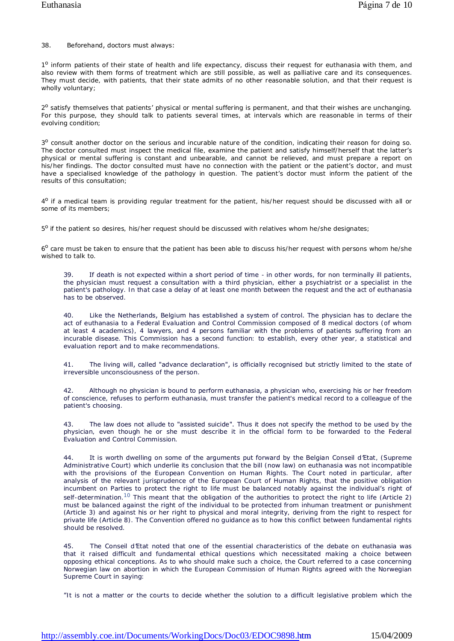## 38. Beforehand, doctors must always:

1<sup>o</sup> inform patients of their state of health and life expectancy, discuss their request for euthanasia with them, and also review with them forms of treatment which are still possible, as well as palliative care and its consequences. They must decide, with patients, that their state admits of no other reasonable solution, and that their request is wholly voluntary;

2<sup>o</sup> satisfy themselves that patients' physical or mental suffering is permanent, and that their wishes are unchanging. For this purpose, they should talk to patients several times, at intervals which are reasonable in terms of their evolving condition;

3<sup>o</sup> consult another doctor on the serious and incurable nature of the condition, indicating their reason for doing so. The doctor consulted must inspect the medical file, examine the patient and satisfy himself/herself that the latter's physical or mental suffering is constant and unbearable, and cannot be relieved, and must prepare a report on his/her findings. The doctor consulted must have no connection with the patient or the patient's doctor, and must have a specialised knowledge of the pathology in question. The patient's doctor must inform the patient of the results of this consultation;

4<sup>o</sup> if a medical team is providing regular treatment for the patient, his/her request should be discussed with all or some of its members;

5<sup>o</sup> if the patient so desires, his/her request should be discussed with relatives whom he/she designates;

6<sup>o</sup> care must be taken to ensure that the patient has been able to discuss his/her request with persons whom he/she wished to talk to.

39. If death is not expected within a short period of time - in other words, for non terminally ill patients, the physician must request a consultation with a third physician, either a psychiatrist or a specialist in the patient's pathology. In that case a delay of at least one month between the request and the act of euthanasia has to be observed.

40. Like the Netherlands, Belgium has established a system of control. The physician has to declare the act of euthanasia to a Federal Evaluation and Control Commission composed of 8 medical doctors (of whom at least 4 academics), 4 lawyers, and 4 persons familiar with the problems of patients suffering from an incurable disease. This Commission has a second function: to establish, every other year, a statistical and evaluation report and to make recommendations.

41. The living will, called "advance declaration", is officially recognised but strictly limited to the state of irreversible unconsciousness of the person.

42. Although no physician is bound to perform euthanasia, a physician who, exercising his or her freedom of conscience, refuses to perform euthanasia, must transfer the patient's medical record to a colleague of the patient's choosing.

43. The law does not allude to "assisted suicide". Thus it does not specify the method to be used by the physician, even though he or she must describe it in the official form to be forwarded to the Federal Evaluation and Control Commission.

44. It is worth dwelling on some of the arguments put forward by the Belgian *Conseil d'Etat*, (Supreme Administrative Court) which underlie its conclusion that the bill (now law) on euthanasia was not incompatible with the provisions of the European Convention on Human Rights. The Court noted in particular, after analysis of the relevant jurisprudence of the European Court of Human Rights, that the positive obligation incumbent on Parties to protect the right to life must be balanced notably against the individual's right of self-determination.<sup>10</sup> This meant that the obligation of the authorities to protect the right to life (Article 2) must be balanced against the right of the individual to be protected from inhuman treatment or punishment (Article 3) and against his or her right to physical and moral integrity, deriving from the right to respect for private life (Article 8). The Convention offered no guidance as to how this conflict between fundamental rights should be resolved.

45. The *Conseil d'Etat* noted that one of the essential characteristics of the debate on euthanasia was that it raised difficult and fundamental ethical questions which necessitated making a choice between opposing ethical conceptions. As to who should make such a choice, the Court referred to a case concerning Norwegian law on abortion in which the European Commission of Human Rights agreed with the Norwegian Supreme Court in saying:

"It is not a matter or the courts to decide whether the solution to a difficult legislative problem which the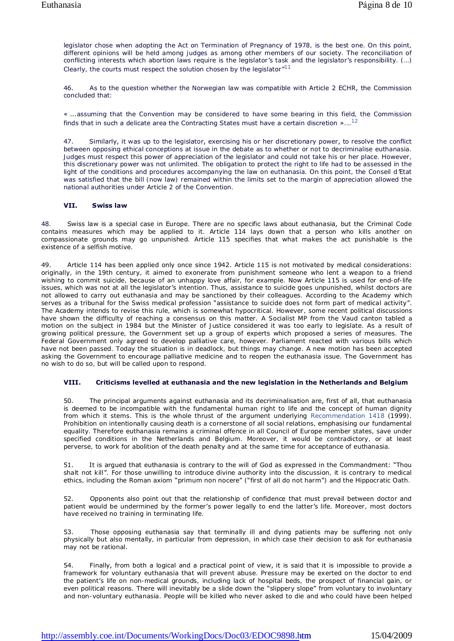legislator chose when adopting the Act on Termination of Pregnancy of 1978, is the best one. On this point, different opinions will be held among judges as among other members of our society. The reconciliation of conflicting interests which abortion laws require is the legislator's task and the legislator's responsibility. (…) Clearly, the courts must respect the solution chosen by the legislator  $"11$ 

46. As to the question whether the Norwegian law was compatible with Article 2 ECHR, the Commission concluded that:

« ...assuming that the Convention may be considered to have some bearing in this field, the Commission finds that in such a delicate area the Contracting States must have a certain discretion  $\frac{1}{2}$ .

47. Similarly, it was up to the legislator, exercising his or her discretionary power, to resolve the conflict between opposing ethical conceptions at issue in the debate as to whether or not to decriminalise euthanasia. Judges must respect this power of appreciation of the legislator and could not take his or her place. However, this discretionary power was not unlimited. The obligation to protect the right to life had to be assessed in the light of the conditions and procedures accompanying the law on euthanasia. On this point, the *Conseil d'Etat* was satisfied that the bill (now law) remained within the limits set to the margin of appreciation allowed the national authorities under Article 2 of the Convention.

## **VII. Swiss law**

48. Swiss law is a special case in Europe. There are no specific laws about euthanasia, but the Criminal Code contains measures which may be applied to it. Article 114 lays down that a person who kills another on compassionate grounds may go unpunished. Article 115 specifies that what makes the act punishable is the existence of a selfish motive.

49. Article 114 has been applied only once since 1942. Article 115 is not motivated by medical considerations: originally, in the 19th century, it aimed to exonerate from punishment someone who lent a weapon to a friend wishing to commit suicide, because of an unhappy love affair, for example. Now Article 115 is used for end-of-life issues, which was not at all the legislator's intention. Thus, assistance to suicide goes unpunished, whilst doctors are not allowed to carry out euthanasia and may be sanctioned by their colleagues. According to the Academy which serves as a tribunal for the Swiss medical profession "assistance to suicide does not form part of medical activity". The Academy intends to revise this rule, which is somewhat hypocritical. However, some recent political discussions have shown the difficulty of reaching a consensus on this matter. A Socialist MP from the Vaud canton tabled a motion on the subject in 1984 but the Minister of Justice considered it was too early to legislate. As a result of growing political pressure, the Government set up a group of experts which proposed a series of measures. The Federal Government only agreed to develop palliative care, however. Parliament reacted with various bills which have not been passed. Today the situation is in deadlock, but things may change. A new motion has been accepted asking the Government to encourage palliative medicine and to reopen the euthanasia issue. The Government has no wish to do so, but will be called upon to respond.

# **VIII. Criticisms levelled at euthanasia and the new legislation in the Netherlands and Belgium**

50. The principal arguments against euthanasia and its decriminalisation are, first of all, that euthanasia is deemed to be incompatible with the fundamental human right to life and the concept of human dignity from which it stems. This is the whole thrust of the argument underlying Recommendation 1418 (1999). Prohibition on intentionally causing death is a cornerstone of all social relations, emphasising our fundamental equality. Therefore euthanasia remains a criminal offence in all Council of Europe member states, save under specified conditions in the Netherlands and Belgium. Moreover, it would be contradictory, or at least perverse, to work for abolition of the death penalty and at the same time for acceptance of euthanasia.

51. It is argued that euthanasia is contrary to the will of God as expressed in the Commandment: "Thou shalt not kill". For those unwilling to introduce divine authority into the discussion, it is contrary to medical ethics, including the Roman axiom "primum non nocere" ("first of all do not harm") and the Hippocratic Oath.

52. Opponents also point out that the relationship of confidence that must prevail between doctor and patient would be undermined by the former's power legally to end the latter's life. Moreover, most doctors have received no training in terminating life.

53. Those opposing euthanasia say that terminally ill and dying patients may be suffering not only physically but also mentally, in particular from depression, in which case their decision to ask for euthanasia may not be rational.

54. Finally, from both a logical and a practical point of view, it is said that it is impossible to provide a framework for voluntary euthanasia that will prevent abuse. Pressure may be exerted on the doctor to end the patient's life on non-medical grounds, including lack of hospital beds, the prospect of financial gain, or even political reasons. There will inevitably be a slide down the "slippery slope" from voluntary to involuntary and non-voluntary euthanasia. People will be killed who never asked to die and who could have been helped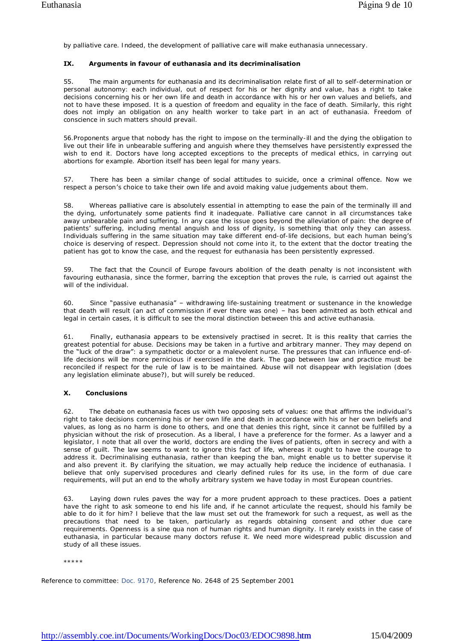by palliative care. Indeed, the development of palliative care will make euthanasia unnecessary.

## **IX. Arguments in favour of euthanasia and its decriminalisation**

55. The main arguments for euthanasia and its decriminalisation relate first of all to self-determination or personal autonomy: each individual, out of respect for his or her dignity and value, has a right to take decisions concerning his or her own life and death in accordance with his or her own values and beliefs, and not to have these imposed. It is a question of freedom and equality in the face of death. Similarly, this right does not imply an obligation on any health worker to take part in an act of euthanasia. Freedom of conscience in such matters should prevail.

56.Proponents argue that nobody has the right to impose on the terminally-ill and the dying the obligation to live out their life in unbearable suffering and anguish where they themselves have persistently expressed the wish to end it. Doctors have long accepted exceptions to the precepts of medical ethics, in carrying out abortions for example. Abortion itself has been legal for many years.

57. There has been a similar change of social attitudes to suicide, once a criminal offence. Now we respect a person's choice to take their own life and avoid making value judgements about them.

58. Whereas palliative care is absolutely essential in attempting to ease the pain of the terminally ill and the dying, unfortunately some patients find it inadequate. Palliative care cannot in all circumstances take away unbearable pain and suffering. In any case the issue goes beyond the alleviation of pain: the degree of patients' suffering, including mental anguish and loss of dignity, is something that only they can assess. Individuals suffering in the same situation may take different end-of-life decisions, but each human being's choice is deserving of respect. Depression should not come into it, to the extent that the doctor treating the patient has got to know the case, and the request for euthanasia has been persistently expressed.

59. The fact that the Council of Europe favours abolition of the death penalty is not inconsistent with favouring euthanasia, since the former, barring the exception that proves the rule, is carried out against the will of the individual.

60. Since "passive euthanasia" – withdrawing life-sustaining treatment or sustenance in the knowledge that death will result (an act of commission if ever there was one) – has been admitted as both ethical and legal in certain cases, it is difficult to see the moral distinction between this and active euthanasia.

61. Finally, euthanasia appears to be extensively practised in secret. It is this reality that carries the greatest potential for abuse. Decisions may be taken in a furtive and arbitrary manner. They may depend on the "luck of the draw": a sympathetic doctor or a malevolent nurse. The pressures that can influence end-oflife decisions will be more pernicious if exercised in the dark. The gap between law and practice must be reconciled if respect for the rule of law is to be maintained. Abuse will not disappear with legislation (does any legislation eliminate abuse?), but will surely be reduced.

## **X. Conclusions**

62. The debate on euthanasia faces us with two opposing sets of values: one that affirms the individual's right to take decisions concerning his or her own life and death in accordance with his or her own beliefs and values, as long as no harm is done to others, and one that denies this right, since it cannot be fulfilled by a physician without the risk of prosecution. As a liberal, I have a preference for the former. As a lawyer and a legislator, I note that all over the world, doctors are ending the lives of patients, often in secrecy and with a sense of guilt. The law seems to want to ignore this fact of life, whereas it ought to have the courage to address it. Decriminalising euthanasia, rather than keeping the ban, might enable us to better supervise it and also prevent it. By clarifying the situation, we may actually help reduce the incidence of euthanasia. I believe that only supervised procedures and clearly defined rules for its use, in the form of due care requirements, will put an end to the wholly arbitrary system we have today in most European countries.

63. Laying down rules paves the way for a more prudent approach to these practices. Does a patient have the right to ask someone to end his life and, if he cannot articulate the request, should his family be able to do it for him? I believe that the law must set out the framework for such a request, as well as the precautions that need to be taken, particularly as regards obtaining consent and other due care requirements. Openness is a sine qua non of human rights and human dignity. It rarely exists in the case of euthanasia, in particular because many doctors refuse it. We need more widespread public discussion and study of all these issues.

\*\*\*\*\*

Reference to committee: Doc. 9170, Reference No. 2648 of 25 September 2001